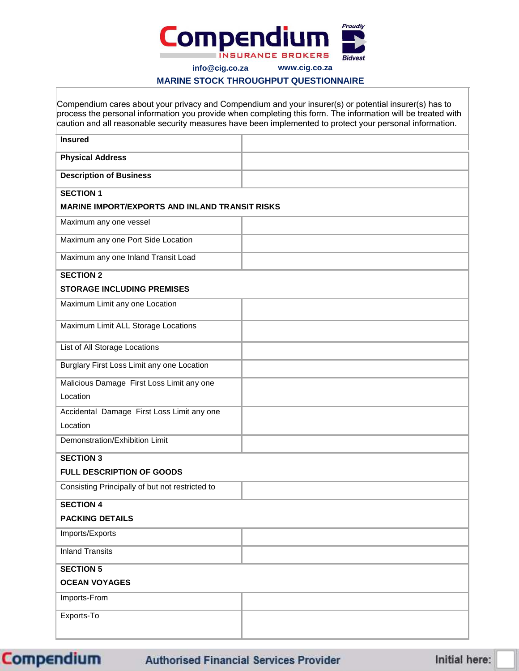

**info@cig.co.za www.cig.co.za**

## **MARINE STOCK THROUGHPUT QUESTIONNAIRE**

|                                                       | Compendium cares about your privacy and Compendium and your insurer(s) or potential insurer(s) has to<br>process the personal information you provide when completing this form. The information will be treated with<br>caution and all reasonable security measures have been implemented to protect your personal information. |
|-------------------------------------------------------|-----------------------------------------------------------------------------------------------------------------------------------------------------------------------------------------------------------------------------------------------------------------------------------------------------------------------------------|
| <b>Insured</b>                                        |                                                                                                                                                                                                                                                                                                                                   |
| <b>Physical Address</b>                               |                                                                                                                                                                                                                                                                                                                                   |
| <b>Description of Business</b>                        |                                                                                                                                                                                                                                                                                                                                   |
| <b>SECTION 1</b>                                      |                                                                                                                                                                                                                                                                                                                                   |
| <b>MARINE IMPORT/EXPORTS AND INLAND TRANSIT RISKS</b> |                                                                                                                                                                                                                                                                                                                                   |
| Maximum any one vessel                                |                                                                                                                                                                                                                                                                                                                                   |
| Maximum any one Port Side Location                    |                                                                                                                                                                                                                                                                                                                                   |
| Maximum any one Inland Transit Load                   |                                                                                                                                                                                                                                                                                                                                   |
| <b>SECTION 2</b>                                      |                                                                                                                                                                                                                                                                                                                                   |
| <b>STORAGE INCLUDING PREMISES</b>                     |                                                                                                                                                                                                                                                                                                                                   |
| Maximum Limit any one Location                        |                                                                                                                                                                                                                                                                                                                                   |
| Maximum Limit ALL Storage Locations                   |                                                                                                                                                                                                                                                                                                                                   |
| List of All Storage Locations                         |                                                                                                                                                                                                                                                                                                                                   |
| Burglary First Loss Limit any one Location            |                                                                                                                                                                                                                                                                                                                                   |
| Malicious Damage First Loss Limit any one             |                                                                                                                                                                                                                                                                                                                                   |
| Location                                              |                                                                                                                                                                                                                                                                                                                                   |
| Accidental Damage First Loss Limit any one            |                                                                                                                                                                                                                                                                                                                                   |
| Location                                              |                                                                                                                                                                                                                                                                                                                                   |
| Demonstration/Exhibition Limit                        |                                                                                                                                                                                                                                                                                                                                   |
| <b>SECTION 3</b>                                      |                                                                                                                                                                                                                                                                                                                                   |
| <b>FULL DESCRIPTION OF GOODS</b>                      |                                                                                                                                                                                                                                                                                                                                   |
| Consisting Principally of but not restricted to       |                                                                                                                                                                                                                                                                                                                                   |
| <b>SECTION 4</b>                                      |                                                                                                                                                                                                                                                                                                                                   |
| <b>PACKING DETAILS</b>                                |                                                                                                                                                                                                                                                                                                                                   |
| Imports/Exports                                       |                                                                                                                                                                                                                                                                                                                                   |
| <b>Inland Transits</b>                                |                                                                                                                                                                                                                                                                                                                                   |
| <b>SECTION 5</b>                                      |                                                                                                                                                                                                                                                                                                                                   |
| <b>OCEAN VOYAGES</b>                                  |                                                                                                                                                                                                                                                                                                                                   |
| Imports-From                                          |                                                                                                                                                                                                                                                                                                                                   |
| Exports-To                                            |                                                                                                                                                                                                                                                                                                                                   |
|                                                       |                                                                                                                                                                                                                                                                                                                                   |

**Compendium** 

**Authorised Financial Services Provider** 

Initial here: